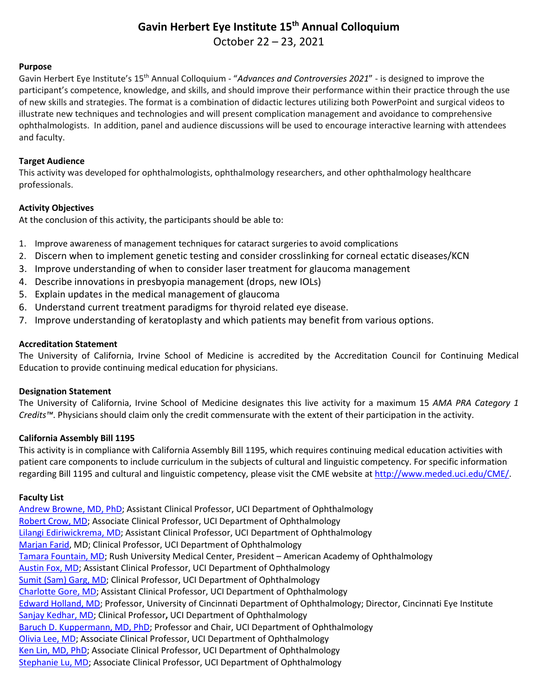# **Gavin Herbert Eye Institute 15th Annual Colloquium**

October 22 – 23, 2021

#### **Purpose**

Gavin Herbert Eye Institute's 15th Annual Colloquium - "*Advances and Controversies 2021*" - is designed to improve the participant's competence, knowledge, and skills, and should improve their performance within their practice through the use of new skills and strategies. The format is a combination of didactic lectures utilizing both PowerPoint and surgical videos to illustrate new techniques and technologies and will present complication management and avoidance to comprehensive ophthalmologists. In addition, panel and audience discussions will be used to encourage interactive learning with attendees and faculty.

### **Target Audience**

This activity was developed for ophthalmologists, ophthalmology researchers, and other ophthalmology healthcare professionals.

## **Activity Objectives**

At the conclusion of this activity, the participants should be able to:

- 1. Improve awareness of management techniques for cataract surgeries to avoid complications
- 2. Discern when to implement genetic testing and consider crosslinking for corneal ectatic diseases/KCN
- 3. Improve understanding of when to consider laser treatment for glaucoma management
- 4. Describe innovations in presbyopia management (drops, new IOLs)
- 5. Explain updates in the medical management of glaucoma
- 6. Understand current treatment paradigms for thyroid related eye disease.
- 7. Improve understanding of keratoplasty and which patients may benefit from various options.

## **Accreditation Statement**

The University of California, Irvine School of Medicine is accredited by the Accreditation Council for Continuing Medical Education to provide continuing medical education for physicians.

#### **Designation Statement**

The University of California, Irvine School of Medicine designates this live activity for a maximum 15 *AMA PRA Category 1 Credits™*. Physicians should claim only the credit commensurate with the extent of their participation in the activity.

#### **California Assembly Bill 1195**

This activity is in compliance with California Assembly Bill 1195, which requires continuing medical education activities with patient care components to include curriculum in the subjects of cultural and linguistic competency. For specific information regarding Bill 1195 and cultural and linguistic competency, please visit the CME website a[t http://www.meded.uci.edu/CME/.](http://www.meded.uci.edu/CME/)

## **Faculty List**

[Andrew Browne, MD, PhD;](https://www.faculty.uci.edu/profile.cfm?faculty_id=6370) Assistant Clinical Professor, UCI Department of Ophthalmology [Robert Crow, MD;](https://www.faculty.uci.edu/profile.cfm?faculty_id=5732) Associate Clinical Professor, UCI Department of Ophthalmology [Lilangi Ediriwickrema, MD;](https://www.faculty.uci.edu/profile.cfm?faculty_id=6621) Assistant Clinical Professor, UCI Department of Ophthalmology [Marjan Farid,](https://www.faculty.uci.edu/profile.cfm?faculty_id=5641) MD; Clinical Professor, UCI Department of Ophthalmology [Tamara Fountain, MD;](https://doctors.rush.edu/details/1912/tamara-fountain-ophthalmology-chicago) Rush University Medical Center, President – American Academy of Ophthalmology [Austin Fox, MD;](https://www.faculty.uci.edu/profile.cfm?faculty_id=6997) Assistant Clinical Professor, UCI Department of Ophthalmology [Sumit \(Sam\) Garg, MD;](https://www.faculty.uci.edu/profile.cfm?faculty_id=5642) Clinical Professor, UCI Department of Ophthalmology [Charlotte Gore, MD;](https://www.faculty.uci.edu/profile.cfm?faculty_id=6424) Assistant Clinical Professor, UCI Department of Ophthalmology [Edward Holland, MD;](https://www.cincinnatieye.com/doctors/edward-holland-md/) Professor, University of Cincinnati Department of Ophthalmology; Director, Cincinnati Eye Institute Sanjay [Kedhar, MD;](https://www.faculty.uci.edu/profile.cfm?faculty_id=6217) Clinical Professor**,** UCI Department of Ophthalmology [Baruch D. Kuppermann, MD, PhD;](https://www.faculty.uci.edu/profile.cfm?faculty_id=2230) Professor and Chair, UCI Department of Ophthalmology [Olivia Lee, MD;](https://www.faculty.uci.edu/profile.cfm?faculty_id=6881) Associate Clinical Professor, UCI Department of Ophthalmology [Ken Lin, MD, PhD;](https://www.faculty.uci.edu/profile.cfm?faculty_id=6458) Associate Clinical Professor, UCI Department of Ophthalmology [Stephanie Lu, MD;](https://www.faculty.uci.edu/profile.cfm?faculty_id=5754) Associate Clinical Professor, UCI Department of Ophthalmology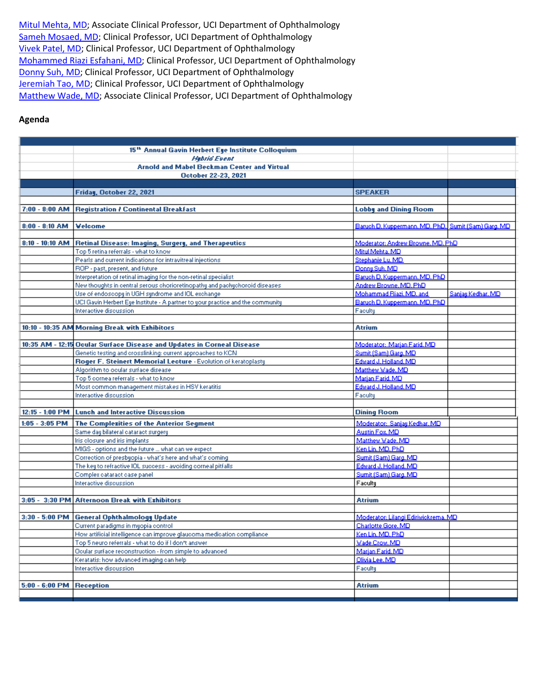[Mitul Mehta, MD;](https://www.faculty.uci.edu/profile.cfm?faculty_id=6081) Associate Clinical Professor, UCI Department of Ophthalmology [Sameh Mosaed, MD;](https://www.faculty.uci.edu/profile.cfm?faculty_id=5665) Clinical Professor, UCI Department of Ophthalmology [Vivek Patel, MD;](https://www.faculty.uci.edu/profile.cfm?faculty_id=6852) Clinical Professor, UCI Department of Ophthalmology [Mohammed Riazi Esfahani, MD;](https://www.faculty.uci.edu/profile.cfm?faculty_id=6599) Clinical Professor, UCI Department of Ophthalmology [Donny Suh,](https://www.faculty.uci.edu/profile.cfm?faculty_id=6966) MD; Clinical Professor, UCI Department of Ophthalmology [Jeremiah Tao, MD;](https://www.faculty.uci.edu/profile.cfm?faculty_id=5458) Clinical Professor, UCI Department of Ophthalmology [Matthew Wade, MD;](https://www.faculty.uci.edu/profile.cfm?faculty_id=6042) Associate Clinical Professor, UCI Department of Ophthalmology

#### **Agenda**

|                          | 15 <sup>th</sup> Annual Gavin Herbert Eye Institute Colloquium                                                                  |                                                     |                   |
|--------------------------|---------------------------------------------------------------------------------------------------------------------------------|-----------------------------------------------------|-------------------|
|                          | <b>Hebrid Event</b>                                                                                                             |                                                     |                   |
|                          | <b>Arnold and Mabel Beckman Center and Virtual</b>                                                                              |                                                     |                   |
|                          | <b>October 22-23, 2021</b>                                                                                                      |                                                     |                   |
|                          |                                                                                                                                 |                                                     |                   |
|                          | Friday, October 22, 2021                                                                                                        | <b>SPEAKER</b>                                      |                   |
|                          |                                                                                                                                 |                                                     |                   |
|                          | 7:00 - 8:00 AM Registration / Continental Breakfast                                                                             | <b>Lobby and Dining Room</b>                        |                   |
|                          |                                                                                                                                 |                                                     |                   |
| $8:00 - 8:10$ AM         | <b>Velcome</b>                                                                                                                  | Baruch D. Kuppermann, MD, PhD. Sumit (Sam) Gard, MD |                   |
| $8:10 - 10:10$ AM        | <b>Retinal Disease: Imaging, Surgery, and Therapeutics</b>                                                                      | Moderator: Andrew Browne, MD, PhD                   |                   |
|                          | Top 5 retina referrals - what to know                                                                                           | Mitul Mehta, MD                                     |                   |
|                          | Pearls and current indications for intravitreal injections.                                                                     | Stephanie Lu, MD                                    |                   |
|                          | ROP - past, present, and future.                                                                                                | Donnu Suh, MD                                       |                   |
|                          | Interpretation of retinal imaging for the non-retinal specialist                                                                | Baruch D. Kuppermann, MD. PhD                       |                   |
|                          | New thoughts in central serous chorioretinopathy and pachychoroid diseases.                                                     | Andrew Browne, MD, PhD                              |                   |
|                          | Use of endoscopy in UGH syndrome and IOL exchange.                                                                              | Mohammad Riazi, MD, and                             | Sanjau Kedhar, MD |
|                          | UCI Gavin Herbert Eye Institute - A partner to your practice and the community                                                  | Baruch D. Kuppermann, MD. PhD                       |                   |
|                          | Interactive discussion                                                                                                          | Facultu                                             |                   |
|                          |                                                                                                                                 |                                                     |                   |
|                          | 10:10 - 10:35 AM Morning Break with Exhibitors                                                                                  | <b>Atrium</b>                                       |                   |
|                          |                                                                                                                                 |                                                     |                   |
|                          | 10:35 AM - 12:15 Ocular Surface Disease and Updates in Corneal Disease                                                          | Moderator: Marian Farid, MD                         |                   |
|                          | Genetic testing and crosslinking: current approaches to KCN                                                                     | Sumit (Sam) Gard, MD                                |                   |
|                          | Roger F. Steinert Memorial Lecture - Evolution of keratoplasty                                                                  | Edward J. Holland, MD                               |                   |
|                          | Algorithm to ocular surface disease                                                                                             | Matthew Wade, MD                                    |                   |
|                          | Top 5 cornea referrals - what to know                                                                                           | Marian Farid, MD                                    |                   |
|                          | Most common management mistakes in HSV keratitis<br>Interactive discussion                                                      | Edward J. Holland, MD<br>Faculty                    |                   |
|                          |                                                                                                                                 |                                                     |                   |
|                          | 12:15 - 1:00 PM   Lunch and Interactive Discussion                                                                              | <b>Dining Room</b>                                  |                   |
|                          | 1:05 - 3:05 PM   The Complexities of the Anterior Segment                                                                       | Moderator: Sanjau Kedhar, MD                        |                   |
|                          | Same day bilateral cataract surgery                                                                                             | <b>Austin Fox, MD</b>                               |                   |
|                          | Iris closure and iris implants.                                                                                                 | Matthew Wade, MD                                    |                   |
|                          | MIGS - options and the future  what can we expect                                                                               | Ken Lin, MD, PhD                                    |                   |
|                          | Correction of presbyopia - what's here and what's coming-                                                                       | Sumit (Sam) Gard, MD                                |                   |
|                          | The key to refractive IOL success - avoiding corneal pitfalls                                                                   | Edward J. Holland, MD                               |                   |
|                          | Complex cataract case panel                                                                                                     | Sumit (Sam) Garg, MD                                |                   |
|                          | Interactive discussion                                                                                                          | Faculty                                             |                   |
|                          |                                                                                                                                 |                                                     |                   |
|                          | 3:05 - 3:30 PM Afternoon Break with Exhibitors                                                                                  | <b>Atrium</b>                                       |                   |
|                          |                                                                                                                                 |                                                     |                   |
|                          | 3:30 - 5:00 PM   General Ophthalmology Update                                                                                   | Moderator: Lilangi Ediriwickrema, MD                |                   |
|                          | Current paradigms in myopia control.                                                                                            | Charlotte Gore, MD                                  |                   |
|                          | How artificial intelligence can improve glaucoma medication compliance<br>Top 5 neuro referrals - what to do if I don't answer. | Ken Lin, MD, PhD<br>Wade Crow, MD                   |                   |
|                          | Ocular surface reconstruction - from simple to advanced                                                                         | Marian Farid, MD                                    |                   |
|                          | Keratatis: how advanced imaging can help                                                                                        | Olivia Lee, MD                                      |                   |
|                          | Interactive discussion                                                                                                          | Faculty                                             |                   |
|                          |                                                                                                                                 |                                                     |                   |
| 5:00 - 6:00 PM Reception |                                                                                                                                 | <b>Atrium</b>                                       |                   |
|                          |                                                                                                                                 |                                                     |                   |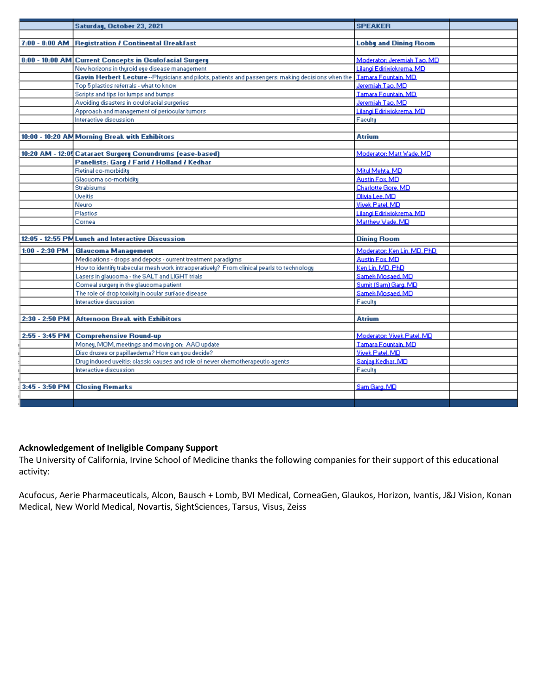|                  | Saturday, October 23, 2021                                                                         | <b>SPEAKER</b>               |  |
|------------------|----------------------------------------------------------------------------------------------------|------------------------------|--|
|                  |                                                                                                    |                              |  |
| $7:00 - 8:00$ AM | Registration / Continental Breakfast                                                               | <b>Lobby and Dining Room</b> |  |
|                  |                                                                                                    |                              |  |
|                  | 8:00 - 10:00 AM Current Concepts in Oculofacial Surgery                                            | Moderator: Jeremiah Tao, MD  |  |
|                  | New horizons in thuroid eye disease management                                                     | Lilangi Ediriwickrema, MD    |  |
|                  | Gavin Herbert Lecture -- Physicians and pilots, patients and passengers: making decisions when the | Tamara Fountain, MD.         |  |
|                  | Top 5 plastics referrals - what to know                                                            | Jeremiah Tao, MD             |  |
|                  | Scripts and tips for lumps and bumps                                                               | Tamara Fountain, MD          |  |
|                  | Avoiding disasters in oculofacial surgeries                                                        | Jeremiah Tao, MD             |  |
|                  | Approach and management of periocular tumors                                                       | Lilangi Ediriwickrema, MD    |  |
|                  | Interactive discussion                                                                             | Faculty                      |  |
|                  |                                                                                                    |                              |  |
|                  | 10:00 - 10:20 AM Morning Break with Exhibitors                                                     | <b>Atrium</b>                |  |
|                  |                                                                                                    |                              |  |
|                  | 10:20 AM - 12:05 Cataract Surgery Conundrums (case-based)                                          | Moderator: Matt Wade, MD     |  |
|                  | Panelists: Garg / Farid / Holland / Kedhar                                                         |                              |  |
|                  | Retinal co-morbidity                                                                               | Mitul Mehta, MD              |  |
|                  | Glacuoma co-morbiditu                                                                              | Austin Fox, MD               |  |
|                  | <b>Strabisums</b>                                                                                  | Charlotte Gore, MD           |  |
|                  | <b>Uveitis</b>                                                                                     | Olivia Lee, MD               |  |
|                  | <b>Neuro</b>                                                                                       | Vivek Patel, MD              |  |
|                  | Plastics                                                                                           | Lilangi Ediriwickrema, MD    |  |
|                  | Corneal                                                                                            | Matthew Wade, MD             |  |
|                  |                                                                                                    |                              |  |
|                  | 12:05 - 12:55 PM Lunch and Interactive Discussion                                                  | <b>Dining Room</b>           |  |
| $1:00 - 2:30$ PM | <b>Glaucoma Management</b>                                                                         | Moderator: Ken Lin, MD, PhD  |  |
|                  | Medications - drops and depots - current treatment paradigms                                       | Austin Fox, MD               |  |
|                  | How to identify trabecular mesh work intraoperatively? From clinical pearls to technology          | Ken Lin, MD, PhD             |  |
|                  | Lasers in glaucoma - the SALT and LIGHT trials                                                     | Sameh Mosaed, MD             |  |
|                  | Corneal surgery in the glaucoma patient                                                            | Sumit (Sam) Gard, MD         |  |
|                  | The role of drop toxicity in ocular surface disease                                                | Sameh Mosaed, MD             |  |
|                  | Interactive discussion                                                                             | Faculty                      |  |
|                  |                                                                                                    |                              |  |
| 2:30 - 2:50 PM   | <b>Afternoon Break with Exhibitors</b>                                                             | <b>Atrium</b>                |  |
|                  |                                                                                                    |                              |  |
| $2:55 - 3:45$ PM | <b>Comprehensive Round-up</b>                                                                      | Moderator: Vivek Patel, MD   |  |
|                  | Money, MOM, meetings and moving on: AAO update                                                     | Tamara Fountain, MD          |  |
|                  | Disc druses or papillaedema? How can you decide?                                                   | Vivek Patel, MD              |  |
|                  | Drug induced uveitis: classic causes and role of newer chemotherapeutic agents                     | Sanjau Kedhar, MD            |  |
|                  | Interactive discussion                                                                             | Faculty                      |  |
|                  |                                                                                                    |                              |  |
| 3:45 - 3:50 PM   | <b>Closing Remarks</b>                                                                             | Sam Garo, MD                 |  |
|                  |                                                                                                    |                              |  |
|                  |                                                                                                    |                              |  |

## **Acknowledgement of Ineligible Company Support**

The University of California, Irvine School of Medicine thanks the following companies for their support of this educational activity:

Acufocus, Aerie Pharmaceuticals, Alcon, Bausch + Lomb, BVI Medical, CorneaGen, Glaukos, Horizon, Ivantis, J&J Vision, Konan Medical, New World Medical, Novartis, SightSciences, Tarsus, Visus, Zeiss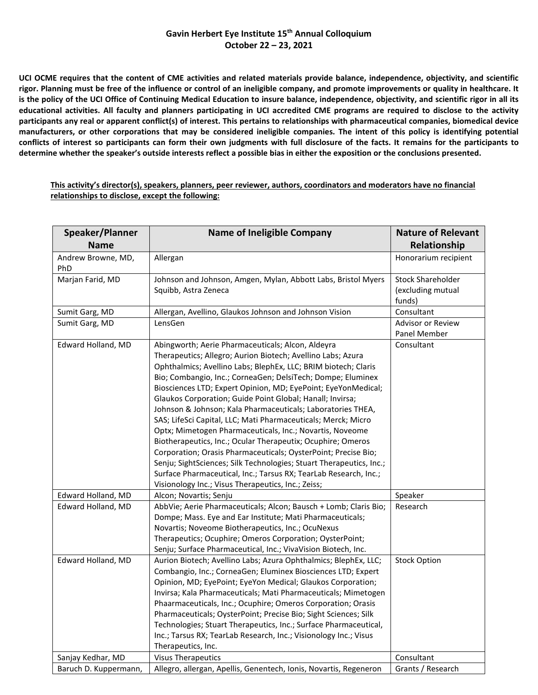## **Gavin Herbert Eye Institute 15th Annual Colloquium October 22 – 23, 2021**

**UCI OCME requires that the content of CME activities and related materials provide balance, independence, objectivity, and scientific rigor. Planning must be free of the influence or control of an ineligible company, and promote improvements or quality in healthcare. It is the policy of the UCI Office of Continuing Medical Education to insure balance, independence, objectivity, and scientific rigor in all its educational activities. All faculty and planners participating in UCI accredited CME programs are required to disclose to the activity participants any real or apparent conflict(s) of interest. This pertains to relationships with pharmaceutical companies, biomedical device manufacturers, or other corporations that may be considered ineligible companies. The intent of this policy is identifying potential conflicts of interest so participants can form their own judgments with full disclosure of the facts. It remains for the participants to determine whether the speaker's outside interests reflect a possible bias in either the exposition or the conclusions presented.**

**This activity's director(s), speakers, planners, peer reviewer, authors, coordinators and moderators have no financial relationships to disclose, except the following:**

| Speaker/Planner           | <b>Name of Ineligible Company</b>                                                                                                                                                                                                                                                                                                                                                                                                                                                                                                                                                                                                                                                                                                                                                                                                                                                                             | <b>Nature of Relevant</b>                               |
|---------------------------|---------------------------------------------------------------------------------------------------------------------------------------------------------------------------------------------------------------------------------------------------------------------------------------------------------------------------------------------------------------------------------------------------------------------------------------------------------------------------------------------------------------------------------------------------------------------------------------------------------------------------------------------------------------------------------------------------------------------------------------------------------------------------------------------------------------------------------------------------------------------------------------------------------------|---------------------------------------------------------|
| <b>Name</b>               |                                                                                                                                                                                                                                                                                                                                                                                                                                                                                                                                                                                                                                                                                                                                                                                                                                                                                                               | Relationship                                            |
| Andrew Browne, MD,<br>PhD | Allergan                                                                                                                                                                                                                                                                                                                                                                                                                                                                                                                                                                                                                                                                                                                                                                                                                                                                                                      | Honorarium recipient                                    |
| Marjan Farid, MD          | Johnson and Johnson, Amgen, Mylan, Abbott Labs, Bristol Myers<br>Squibb, Astra Zeneca                                                                                                                                                                                                                                                                                                                                                                                                                                                                                                                                                                                                                                                                                                                                                                                                                         | <b>Stock Shareholder</b><br>(excluding mutual<br>funds) |
| Sumit Garg, MD            | Allergan, Avellino, Glaukos Johnson and Johnson Vision                                                                                                                                                                                                                                                                                                                                                                                                                                                                                                                                                                                                                                                                                                                                                                                                                                                        | Consultant                                              |
| Sumit Garg, MD            | LensGen                                                                                                                                                                                                                                                                                                                                                                                                                                                                                                                                                                                                                                                                                                                                                                                                                                                                                                       | Advisor or Review<br>Panel Member                       |
| Edward Holland, MD        | Abingworth; Aerie Pharmaceuticals; Alcon, Aldeyra<br>Therapeutics; Allegro; Aurion Biotech; Avellino Labs; Azura<br>Ophthalmics; Avellino Labs; BlephEx, LLC; BRIM biotech; Claris<br>Bio; Combangio, Inc.; CorneaGen; DelsiTech; Dompe; Eluminex<br>Biosciences LTD; Expert Opinion, MD; EyePoint; EyeYonMedical;<br>Glaukos Corporation; Guide Point Global; Hanall; Invirsa;<br>Johnson & Johnson; Kala Pharmaceuticals; Laboratories THEA,<br>SAS; LifeSci Capital, LLC; Mati Pharmaceuticals; Merck; Micro<br>Optx; Mimetogen Pharmaceuticals, Inc.; Novartis, Noveome<br>Biotherapeutics, Inc.; Ocular Therapeutix; Ocuphire; Omeros<br>Corporation; Orasis Pharmaceuticals; OysterPoint; Precise Bio;<br>Senju; SightSciences; Silk Technologies; Stuart Therapeutics, Inc.;<br>Surface Pharmaceutical, Inc.; Tarsus RX; TearLab Research, Inc.;<br>Visionology Inc.; Visus Therapeutics, Inc.; Zeiss; | Consultant                                              |
| Edward Holland, MD        | Alcon; Novartis; Senju                                                                                                                                                                                                                                                                                                                                                                                                                                                                                                                                                                                                                                                                                                                                                                                                                                                                                        | Speaker                                                 |
| Edward Holland, MD        | AbbVie; Aerie Pharmaceuticals; Alcon; Bausch + Lomb; Claris Bio;<br>Dompe; Mass. Eye and Ear Institute; Mati Pharmaceuticals;<br>Novartis; Noveome Biotherapeutics, Inc.; OcuNexus<br>Therapeutics; Ocuphire; Omeros Corporation; OysterPoint;<br>Senju; Surface Pharmaceutical, Inc.; VivaVision Biotech, Inc.                                                                                                                                                                                                                                                                                                                                                                                                                                                                                                                                                                                               | Research                                                |
| Edward Holland, MD        | Aurion Biotech; Avellino Labs; Azura Ophthalmics; BlephEx, LLC;<br>Combangio, Inc.; CorneaGen; Eluminex Biosciences LTD; Expert<br>Opinion, MD; EyePoint; EyeYon Medical; Glaukos Corporation;<br>Invirsa; Kala Pharmaceuticals; Mati Pharmaceuticals; Mimetogen<br>Phaarmaceuticals, Inc.; Ocuphire; Omeros Corporation; Orasis<br>Pharmaceuticals; OysterPoint; Precise Bio; Sight Sciences; Silk<br>Technologies; Stuart Therapeutics, Inc.; Surface Pharmaceutical,<br>Inc.; Tarsus RX; TearLab Research, Inc.; Visionology Inc.; Visus<br>Therapeutics, Inc.                                                                                                                                                                                                                                                                                                                                             | <b>Stock Option</b>                                     |
| Sanjay Kedhar, MD         | <b>Visus Therapeutics</b>                                                                                                                                                                                                                                                                                                                                                                                                                                                                                                                                                                                                                                                                                                                                                                                                                                                                                     | Consultant                                              |
| Baruch D. Kuppermann,     | Allegro, allergan, Apellis, Genentech, Ionis, Novartis, Regeneron                                                                                                                                                                                                                                                                                                                                                                                                                                                                                                                                                                                                                                                                                                                                                                                                                                             | Grants / Research                                       |